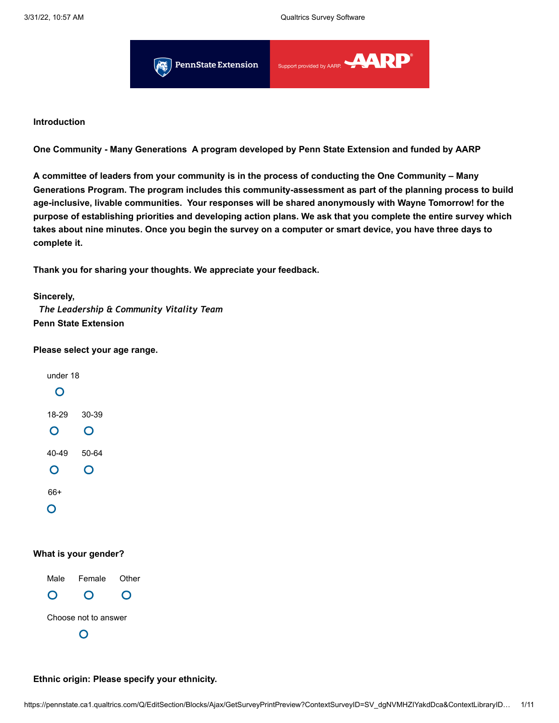

### **Introduction**

**One Community - Many Generations A program developed by Penn State Extension and funded by AARP**

**A committee of leaders from your community is in the process of conducting the One Community – Many Generations Program. The program includes this community-assessment as part of the planning process to build age-inclusive, livable communities. Your responses will be shared anonymously with Wayne Tomorrow! for the purpose of establishing priorities and developing action plans. We ask that you complete the entire survey which takes about nine minutes. Once you begin the survey on a computer or smart device, you have three days to complete it.**

**Thank you for sharing your thoughts. We appreciate your feedback.**

#### **Sincerely,**

 *The Leadership & Community Vitality Team* **Penn State Extension**

#### **Please select your age range.**



#### **What is your gender?**

Male Female Other  $\mathbf{O}$ O O Choose not to answer $\mathsf{O}$ 

**Ethnic origin: Please specify your ethnicity.**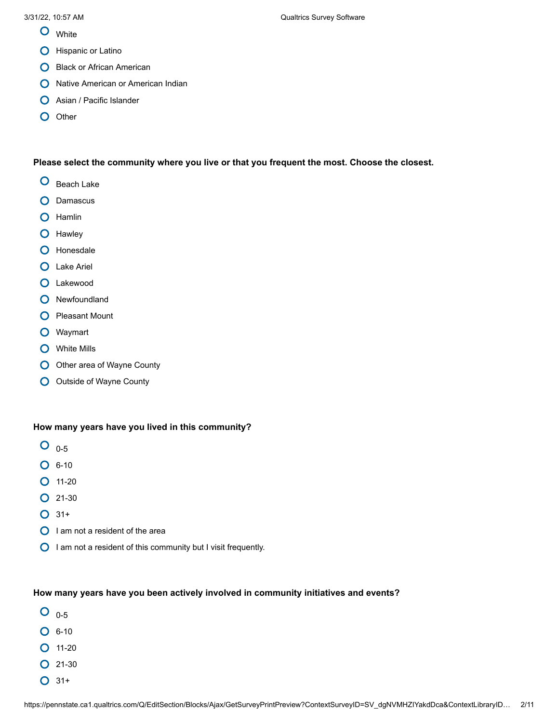- **O** White
- **O** Hispanic or Latino
- **O** Black or African American
- **O** Native American or American Indian
- **O** Asian / Pacific Islander
- O Other

### **Please select the community where you live or that you frequent the most. Choose the closest.**

- O Beach Lake
- **O** Damascus
- **O** Hamlin
- **O** Hawley
- **O** Honesdale
- **O** Lake Ariel
- Lakewood
- **O** Newfoundland
- **O** Pleasant Mount
- Waymart
- **O** White Mills
- O Other area of Wayne County
- **O** Outside of Wayne County

### **How many years have you lived in this community?**

- $O_{0.5}$
- $O$  6-10
- $O$  11-20
- 21-30
- $O$  31+
- $\bigcirc$  I am not a resident of the area
- $\bigcirc$  I am not a resident of this community but I visit frequently.

### **How many years have you been actively involved in community initiatives and events?**

- $O_{0.5}$
- $O$  6-10
- $O$  11-20
- $O$  21-30
- $O$  31+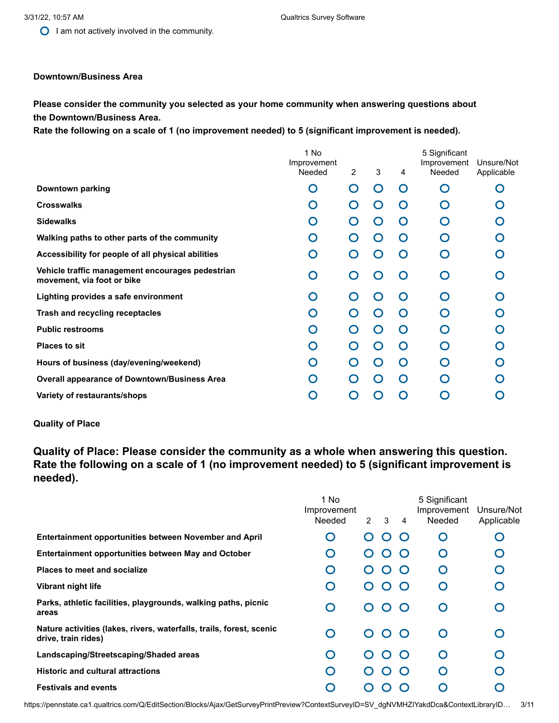$\bigcirc$  I am not actively involved in the community.

#### **Downtown/Business Area**

### **Please consider the community you selected as your home community when answering questions about the Downtown/Business Area.**

**Rate the following on a scale of 1 (no improvement needed) to 5 (significant improvement is needed).**

|                                                                                | 1 No<br>Improvement<br>Needed | $\overline{2}$              | 3             | 4        | 5 Significant<br>Improvement<br>Needed | Unsure/Not<br>Applicable |
|--------------------------------------------------------------------------------|-------------------------------|-----------------------------|---------------|----------|----------------------------------------|--------------------------|
| Downtown parking                                                               | O                             | 0                           | ∩             | O        | ∩                                      |                          |
| <b>Crosswalks</b>                                                              | O                             | $\mathcal{L}$               | $\cap$        | $\Omega$ | $\bigcap$                              |                          |
| <b>Sidewalks</b>                                                               | O                             |                             | 0             | $\Omega$ | ∩                                      |                          |
| Walking paths to other parts of the community                                  | O                             |                             | $\bigcap$     | O        | ∩                                      |                          |
| Accessibility for people of all physical abilities                             | O                             |                             | ∩             | ∩        | ∩                                      |                          |
| Vehicle traffic management encourages pedestrian<br>movement, via foot or bike | O                             |                             | $\mathcal{C}$ | ∩        | ∩                                      |                          |
| Lighting provides a safe environment                                           | O                             |                             | $\bigcap$     | ∩        | ∩                                      |                          |
| Trash and recycling receptacles                                                | O                             | $\Box$                      | 0             | O        | ∩                                      |                          |
| <b>Public restrooms</b>                                                        | O                             |                             | ∩             | O        | ∩                                      |                          |
| <b>Places to sit</b>                                                           | O                             |                             | 0             | O        |                                        |                          |
| Hours of business (day/evening/weekend)                                        | O                             | $\hspace{0.5cm}\rightarrow$ | $\cap$        | ∩        | ∩                                      |                          |
| <b>Overall appearance of Downtown/Business Area</b>                            | O                             |                             | 0             | O        |                                        |                          |
| Variety of restaurants/shops                                                   | O                             |                             |               | ∩        |                                        |                          |

### **Quality of Place**

**Quality of Place: Please consider the community as a whole when answering this question. Rate the following on a scale of 1 (no improvement needed) to 5 (significant improvement is needed).**

|                                                                                             | 1 No<br>Improvement<br>Needed | $\mathcal{P}$ | 3           | $\overline{4}$ | 5 Significant<br>Improvement<br>Needed | Unsure/Not<br>Applicable                      |
|---------------------------------------------------------------------------------------------|-------------------------------|---------------|-------------|----------------|----------------------------------------|-----------------------------------------------|
| <b>Entertainment opportunities between November and April</b>                               | 0                             | 0             | $\mathbf C$ | $\Box$         | O                                      | $\left( \begin{array}{c} \end{array} \right)$ |
| Entertainment opportunities between May and October                                         | 0                             | 0             | $\mathbf C$ | $\cap$         | O                                      | ∩                                             |
| <b>Places to meet and socialize</b>                                                         | $\bigcap$                     | 0             | $\mathbf C$ | $\Omega$       | O                                      | ∩                                             |
| Vibrant night life                                                                          | Ω                             | 0             | 0           | $\Gamma$       | O                                      | ∩                                             |
| Parks, athletic facilities, playgrounds, walking paths, picnic<br>areas                     | ∩                             | $\Omega$      | $\mathbf C$ | $\bigcap$      | O                                      | ∩                                             |
| Nature activities (lakes, rivers, waterfalls, trails, forest, scenic<br>drive, train rides) | ∩                             | $\Omega$      | $\Omega$    | $\bigcap$      | O                                      | ∩                                             |
| Landscaping/Streetscaping/Shaded areas                                                      | ∩                             |               | $\mathbf C$ | $\cap$         | O                                      |                                               |
| <b>Historic and cultural attractions</b>                                                    | Ω                             |               | 0           | $\bigcap$      | O                                      |                                               |
| <b>Festivals and events</b>                                                                 |                               |               |             |                |                                        |                                               |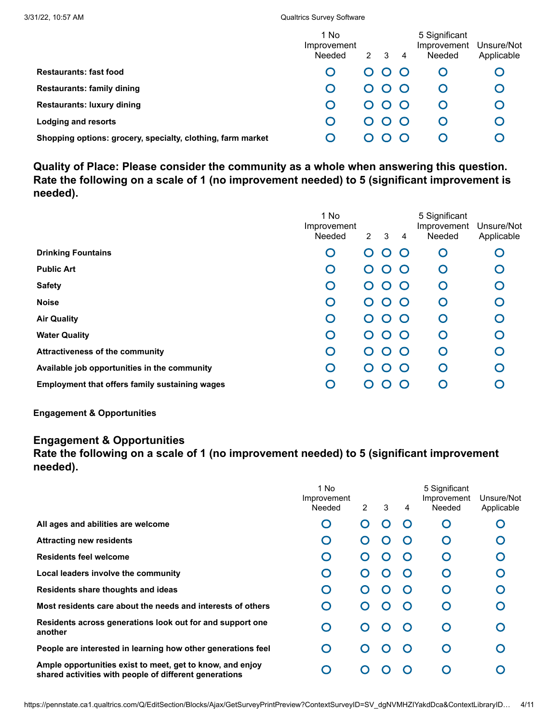| 3/31/22. 10:57 AM                                           | <b>Qualtrics Survey Software</b> |             |             |           |                                        |                          |  |  |  |
|-------------------------------------------------------------|----------------------------------|-------------|-------------|-----------|----------------------------------------|--------------------------|--|--|--|
|                                                             | 1 No<br>Improvement<br>Needed    | $2^{\circ}$ | 3           | 4         | 5 Significant<br>Improvement<br>Needed | Unsure/Not<br>Applicable |  |  |  |
| <b>Restaurants: fast food</b>                               |                                  | ∩           | 0           |           | C                                      |                          |  |  |  |
| <b>Restaurants: family dining</b>                           | O                                | $\Omega$    | $\bullet$ O | $\bigcap$ | O                                      |                          |  |  |  |
| <b>Restaurants: luxury dining</b>                           | O                                | ∩           | $\Omega$    |           | C                                      |                          |  |  |  |
| Lodging and resorts                                         | O                                | 0           |             |           | C                                      |                          |  |  |  |
| Shopping options: grocery, specialty, clothing, farm market |                                  |             |             |           |                                        |                          |  |  |  |

**Quality of Place: Please consider the community as a whole when answering this question. Rate the following on a scale of 1 (no improvement needed) to 5 (significant improvement is needed).**

|                                                       | 1 No<br>Improvement<br>Needed | $2^{\circ}$       | 3           | $\overline{4}$ | 5 Significant<br>Improvement<br>Needed | Unsure/Not<br>Applicable |
|-------------------------------------------------------|-------------------------------|-------------------|-------------|----------------|----------------------------------------|--------------------------|
| <b>Drinking Fountains</b>                             | O                             | $\cap$            | 0           | $\bigcap$      | O                                      | O                        |
| <b>Public Art</b>                                     | $\bigcap$                     | $\mathbf C$       | $\mathbf C$ | $\cap$         | O                                      | $\bigcap$                |
| <b>Safety</b>                                         | O                             | 0                 | 0           | $\bigcap$      | O                                      | O                        |
| <b>Noise</b>                                          | O                             | $\mathbf{\Omega}$ | $\mathbf C$ | $\bigcap$      | O                                      | O                        |
| <b>Air Quality</b>                                    | O                             | $\mathbf C$       | $\mathbf C$ | $\bigcap$      | O                                      | O                        |
| <b>Water Quality</b>                                  | O                             | $\cap$            | ∩           | $\cap$         | O                                      | O                        |
| <b>Attractiveness of the community</b>                | O                             | 0                 | $\mathbf C$ | $\bigcap$      | O                                      | O                        |
| Available job opportunities in the community          | O                             | ( )               | ∩           | $\cap$         | O                                      | O                        |
| <b>Employment that offers family sustaining wages</b> | ∩                             | 0                 |             | $\mathcal{C}$  | O                                      |                          |
|                                                       |                               |                   |             |                |                                        |                          |

**Engagement & Opportunities**

## **Engagement & Opportunities**

## **Rate the following on a scale of 1 (no improvement needed) to 5 (significant improvement needed).**

|                                                                                                                     | 1 No<br>Improvement<br>Needed | $\overline{2}$        | 3 | 4 | 5 Significant<br>Improvement<br>Needed | Unsure/Not<br>Applicable |
|---------------------------------------------------------------------------------------------------------------------|-------------------------------|-----------------------|---|---|----------------------------------------|--------------------------|
| All ages and abilities are welcome                                                                                  | $\bigcap$                     | $\mathbf C$           | 0 |   | ∩                                      |                          |
| <b>Attracting new residents</b>                                                                                     | O                             | 0                     |   |   | $\Omega$                               |                          |
| <b>Residents feel welcome</b>                                                                                       | O                             | 0                     |   |   | ∩                                      |                          |
| Local leaders involve the community                                                                                 | O                             | O                     |   |   | ∩                                      |                          |
| Residents share thoughts and ideas                                                                                  | O                             |                       |   |   | O                                      |                          |
| Most residents care about the needs and interests of others                                                         | O                             |                       |   |   | ∩                                      |                          |
| Residents across generations look out for and support one<br>another                                                | O                             | $\scriptstyle\bullet$ |   |   | O                                      |                          |
| People are interested in learning how other generations feel                                                        | O                             | 0                     |   |   | ∩                                      |                          |
| Ample opportunities exist to meet, get to know, and enjoy<br>shared activities with people of different generations | O                             |                       |   |   |                                        |                          |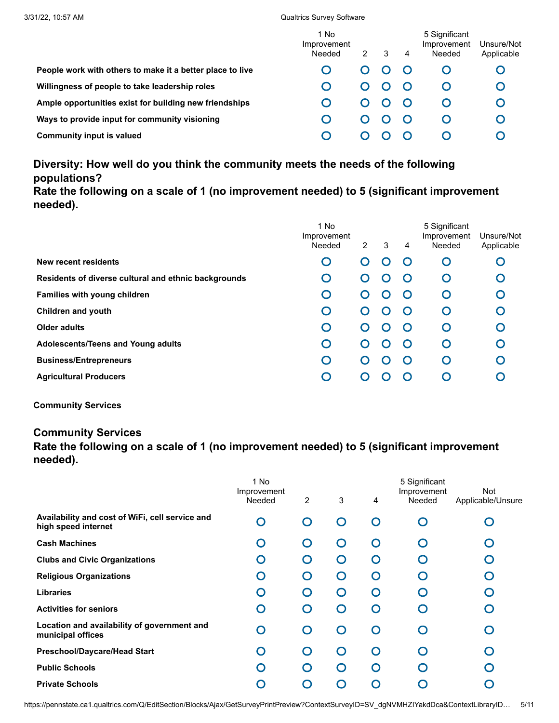|                                                           | 1 No<br>Improvement<br>Needed | 2 | 3 | 4 | 5 Significant<br>Improvement<br>Needed | Unsure/Not<br>Applicable |
|-----------------------------------------------------------|-------------------------------|---|---|---|----------------------------------------|--------------------------|
| People work with others to make it a better place to live |                               | 0 |   |   |                                        |                          |
| Willingness of people to take leadership roles            |                               | 0 |   |   |                                        |                          |
| Ample opportunities exist for building new friendships    |                               | 0 |   |   |                                        |                          |
| Ways to provide input for community visioning             |                               | 0 |   |   |                                        |                          |
| Community input is valued                                 |                               |   |   |   |                                        |                          |

# **Diversity: How well do you think the community meets the needs of the following populations?**

**Rate the following on a scale of 1 (no improvement needed) to 5 (significant improvement needed).**

|                                                      | 1 No<br>Improvement<br>Needed | $\overline{2}$ | 3 | 4         | 5 Significant<br>Improvement<br>Needed | Unsure/Not<br>Applicable |
|------------------------------------------------------|-------------------------------|----------------|---|-----------|----------------------------------------|--------------------------|
| New recent residents                                 | O                             | ∩              |   |           | O                                      |                          |
| Residents of diverse cultural and ethnic backgrounds | O                             | O              |   |           | O                                      |                          |
| Families with young children                         | O                             | O              |   |           | O                                      |                          |
| Children and youth                                   | O                             | ∩              |   | $\bigcap$ | O                                      |                          |
| Older adults                                         | O                             | O              |   |           | O                                      |                          |
| Adolescents/Teens and Young adults                   | O                             | $\cap$         |   |           | O                                      |                          |
| <b>Business/Entrepreneurs</b>                        | O                             | $\cap$         |   |           | O                                      |                          |
| <b>Agricultural Producers</b>                        | O                             |                |   |           |                                        |                          |
|                                                      |                               |                |   |           |                                        |                          |

**Community Services**

## **Community Services**

**Rate the following on a scale of 1 (no improvement needed) to 5 (significant improvement needed).**

|                                                                        | 1 No<br>Improvement<br>Needed | $\overline{2}$ | 3        |   | 5 Significant<br>Improvement<br>Needed | <b>Not</b>        |
|------------------------------------------------------------------------|-------------------------------|----------------|----------|---|----------------------------------------|-------------------|
|                                                                        |                               |                |          | 4 |                                        | Applicable/Unsure |
| Availability and cost of WiFi, cell service and<br>high speed internet | $\overline{O}$                | ∩              | ∩        | O |                                        |                   |
| <b>Cash Machines</b>                                                   | O                             | ∩              | $\cap$   | O |                                        |                   |
| <b>Clubs and Civic Organizations</b>                                   | O                             | ∩              | ∩        | O |                                        |                   |
| <b>Religious Organizations</b>                                         | O                             | ∩              | ∩        | O | ∩                                      |                   |
| <b>Libraries</b>                                                       | O                             | ∩              | $\Omega$ | O | $\cap$                                 |                   |
| <b>Activities for seniors</b>                                          | O                             | ∩              | ∩        | O | ∩                                      |                   |
| Location and availability of government and<br>municipal offices       | O                             | ∩              | ∩        | O | ∩                                      |                   |
| <b>Preschool/Daycare/Head Start</b>                                    | O                             | ∩              | ∩        | ∩ |                                        |                   |
| <b>Public Schools</b>                                                  | O                             | ∩              | ∩        | O | ∩                                      |                   |
| <b>Private Schools</b>                                                 | ∩                             | ∩              | ∩        | O |                                        |                   |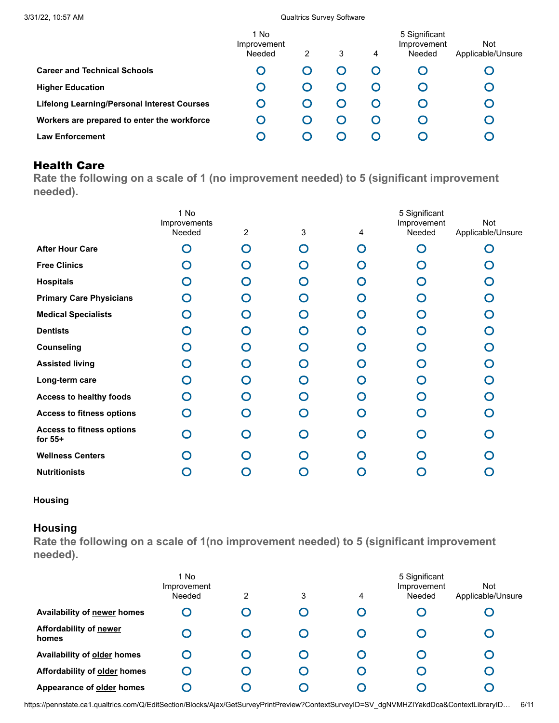|                                                    | 1 No<br>Improvement<br>Needed | $\overline{2}$ | 3 | 4 | 5 Significant<br>Improvement<br>Needed | Not<br>Applicable/Unsure |
|----------------------------------------------------|-------------------------------|----------------|---|---|----------------------------------------|--------------------------|
| <b>Career and Technical Schools</b>                | O                             |                |   |   |                                        |                          |
| <b>Higher Education</b>                            | O                             |                |   |   |                                        |                          |
| <b>Lifelong Learning/Personal Interest Courses</b> |                               |                |   |   |                                        |                          |
| Workers are prepared to enter the workforce        | O                             |                |   |   |                                        |                          |
| <b>Law Enforcement</b>                             | O                             |                |   |   |                                        |                          |

## Health Care

**Rate the following on a scale of 1 (no improvement needed) to 5 (significant improvement needed).**

|                                               | 1 No<br>Improvements<br>Needed | $\overline{2}$ | 3 | 4 | 5 Significant<br>Improvement<br>Needed | <b>Not</b><br>Applicable/Unsure |
|-----------------------------------------------|--------------------------------|----------------|---|---|----------------------------------------|---------------------------------|
| <b>After Hour Care</b>                        | ∩                              | $\cap$         | ∩ | O | O                                      |                                 |
| <b>Free Clinics</b>                           | $\cap$                         | ∩              | O | O | O                                      | O                               |
| <b>Hospitals</b>                              | ∩                              | ∩              | O | O | $\cap$                                 |                                 |
| <b>Primary Care Physicians</b>                | ∩                              | ∩              | O | O | ∩                                      | $\bigcap$                       |
| <b>Medical Specialists</b>                    | $\cap$                         | ∩              | ∩ | O | ∩                                      | ∩                               |
| <b>Dentists</b>                               | ∩                              | ∩              | O | O | ∩                                      | ∩                               |
| <b>Counseling</b>                             | ∩                              | ∩              | O | O | O                                      | ∩                               |
| <b>Assisted living</b>                        | $\cap$                         | ∩              | ∩ | O | ∩                                      | $\cap$                          |
| Long-term care                                | ∩                              | ∩              | ∩ | ∩ | ∩                                      | ∩                               |
| <b>Access to healthy foods</b>                | $\cap$                         | ∩              | ∩ | O | ∩                                      | ∩                               |
| <b>Access to fitness options</b>              | ∩                              | ∩              | ∩ | O | ∩                                      | ∩                               |
| <b>Access to fitness options</b><br>for $55+$ | ∩                              | ∩              | ∩ | O | ∩                                      | ∩                               |
| <b>Wellness Centers</b>                       |                                | ∩              | ∩ | O |                                        |                                 |
| <b>Nutritionists</b>                          |                                |                |   | Ο |                                        |                                 |

### **Housing**

## **Housing**

**Rate the following on a scale of 1(no improvement needed) to 5 (significant improvement needed).**

|                                 | 1 No<br>Improvement<br>Needed | 2        | 3 | 4         | 5 Significant<br>Improvement<br>Needed | <b>Not</b><br>Applicable/Unsure |
|---------------------------------|-------------------------------|----------|---|-----------|----------------------------------------|---------------------------------|
| Availability of newer homes     |                               |          |   |           |                                        |                                 |
| Affordability of newer<br>homes |                               |          |   |           |                                        |                                 |
| Availability of older homes     |                               | $\bf{C}$ |   |           |                                        |                                 |
| Affordability of older homes    |                               | Ő        |   | $\bf\cup$ |                                        |                                 |
| Appearance of older homes       |                               |          |   |           |                                        |                                 |

https://pennstate.ca1.qualtrics.com/Q/EditSection/Blocks/Ajax/GetSurveyPrintPreview?ContextSurveyID=SV\_dgNVMHZIYakdDca&ContextLibraryID… 6/11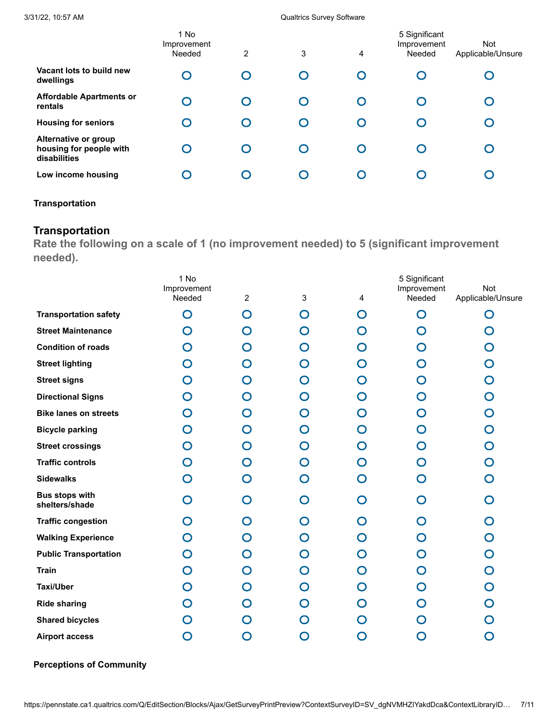|                                                                 | 1 No<br>Improvement<br>Needed | 2 | 3 | 4        | 5 Significant<br>Improvement<br>Needed | <b>Not</b><br>Applicable/Unsure |
|-----------------------------------------------------------------|-------------------------------|---|---|----------|----------------------------------------|---------------------------------|
| Vacant lots to build new<br>dwellings                           |                               |   |   | $\bf{O}$ |                                        |                                 |
| <b>Affordable Apartments or</b><br>rentals                      |                               |   |   | O        |                                        |                                 |
| <b>Housing for seniors</b>                                      |                               |   |   | O        |                                        |                                 |
| Alternative or group<br>housing for people with<br>disabilities |                               |   |   | O        |                                        |                                 |
| Low income housing                                              |                               |   |   |          |                                        |                                 |
|                                                                 |                               |   |   |          |                                        |                                 |

### **Transportation**

## **Transportation**

**Rate the following on a scale of 1 (no improvement needed) to 5 (significant improvement needed).**

|                                         | 1 No                  |                |             |             | 5 Significant         | Not               |
|-----------------------------------------|-----------------------|----------------|-------------|-------------|-----------------------|-------------------|
|                                         | Improvement<br>Needed | $\overline{c}$ | 3           | 4           | Improvement<br>Needed | Applicable/Unsure |
| <b>Transportation safety</b>            | O                     | O              | O           | O           | O                     | O                 |
| <b>Street Maintenance</b>               | O                     | ∩              | O           | O           | O                     | O                 |
| <b>Condition of roads</b>               | O                     | 0              | O           | O           | O                     | O                 |
| <b>Street lighting</b>                  | O                     | ∩              | O           | O           | O                     | O                 |
| <b>Street signs</b>                     | O                     | O              | O           | O           | O                     | $\mathbf O$       |
| <b>Directional Signs</b>                | $\Omega$              | O              | $\mathbf O$ | O           | O                     | O                 |
| <b>Bike lanes on streets</b>            | $\mathbf C$           | ◯              | O           | O           | O                     | O                 |
| <b>Bicycle parking</b>                  | O                     | O              | O           | O           | O                     | $\mathbf O$       |
| <b>Street crossings</b>                 | O                     | O              | O           | O           | O                     | O                 |
| <b>Traffic controls</b>                 | $\bigcap$             | ∩              | O           | O           | O                     | O                 |
| <b>Sidewalks</b>                        | O                     | O              | O           | O           | O                     | $\mathbf O$       |
| <b>Bus stops with</b><br>shelters/shade | O                     | $\Omega$       | O           | O           | O                     | O                 |
| <b>Traffic congestion</b>               | $\bigcap$             | ◯              | O           | O           | O                     | $\mathbf O$       |
| <b>Walking Experience</b>               | $\Omega$              | O              | O           | O           | O                     | O                 |
| <b>Public Transportation</b>            | O                     | Ω              | O           | O           | O                     | O                 |
| <b>Train</b>                            | O                     | ∩              | O           | O           | O                     | $\mathbf O$       |
| <b>Taxi/Uber</b>                        | O                     | O              | O           | O           | O                     | O                 |
| <b>Ride sharing</b>                     | O                     | Ω              | O           | O           | O                     | O                 |
| <b>Shared bicycles</b>                  |                       |                | 0           | O           | O                     | ∩                 |
| <b>Airport access</b>                   | O                     | O              | O           | $\mathbf O$ | O                     | O                 |

**Perceptions of Community**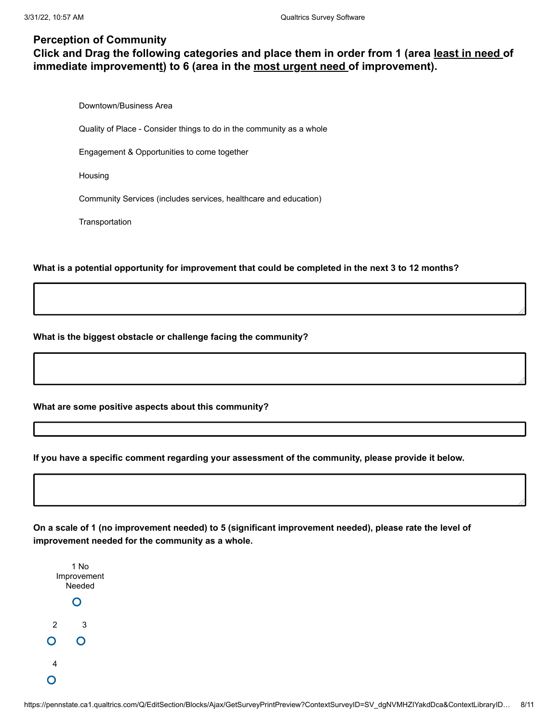## **Perception of Community**

## **Click and Drag the following categories and place them in order from 1 (area least in need of immediate improvementt) to 6 (area in the most urgent need of improvement).**

Downtown/Business Area

Quality of Place - Consider things to do in the community as a whole

Engagement & Opportunities to come together

Housing

Community Services (includes services, healthcare and education)

**Transportation** 

**What is a potential opportunity for improvement that could be completed in the next 3 to 12 months?**

**What is the biggest obstacle or challenge facing the community?**

**What are some positive aspects about this community?**

**If you have a specific comment regarding your assessment of the community, please provide it below.**

**On a scale of 1 (no improvement needed) to 5 (significant improvement needed), please rate the level of improvement needed for the community as a whole.**

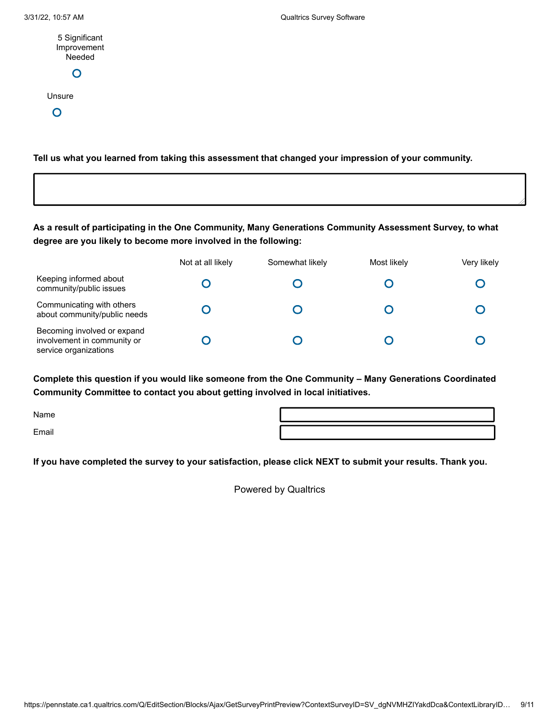| 5 Significant |
|---------------|
| Improvement   |
| Needed        |
| $\mathbf{C}$  |

Unsure

 $\overline{O}$ 

**Tell us what you learned from taking this assessment that changed your impression of your community.**

**As a result of participating in the One Community, Many Generations Community Assessment Survey, to what degree are you likely to become more involved in the following:**

|                                                                                     | Not at all likely | Somewhat likely | Most likely | Very likely |
|-------------------------------------------------------------------------------------|-------------------|-----------------|-------------|-------------|
| Keeping informed about<br>community/public issues                                   |                   |                 |             |             |
| Communicating with others<br>about community/public needs                           |                   |                 |             |             |
| Becoming involved or expand<br>involvement in community or<br>service organizations |                   |                 |             |             |

**Complete this question if you would like someone from the One Community – Many Generations Coordinated Community Committee to contact you about getting involved in local initiatives.**

Name

Email

**If you have completed the survey to your satisfaction, please click NEXT to submit your results. Thank you.**

[Powered by Qualtrics](https://www.qualtrics.com/powered-by-qualtrics/?utm_source=internal%2Binitiatives&utm_medium=survey%2Bpowered%2Bby%2Bqualtrics&utm_content={~BrandID~}&utm_survey_id={~SurveyID~})